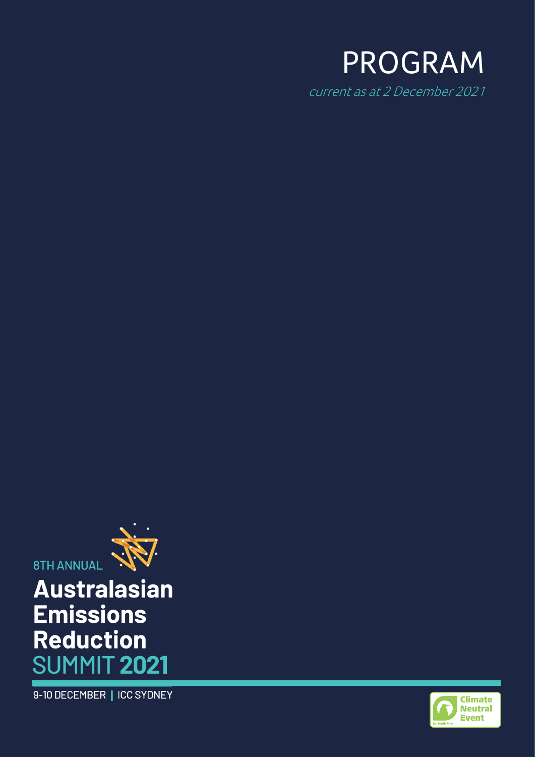

current as at 2 December 2021



# **Australasian Emissions Reduction SUMMIT 2021**

9-10 DECEMBER | ICC SYDNEY

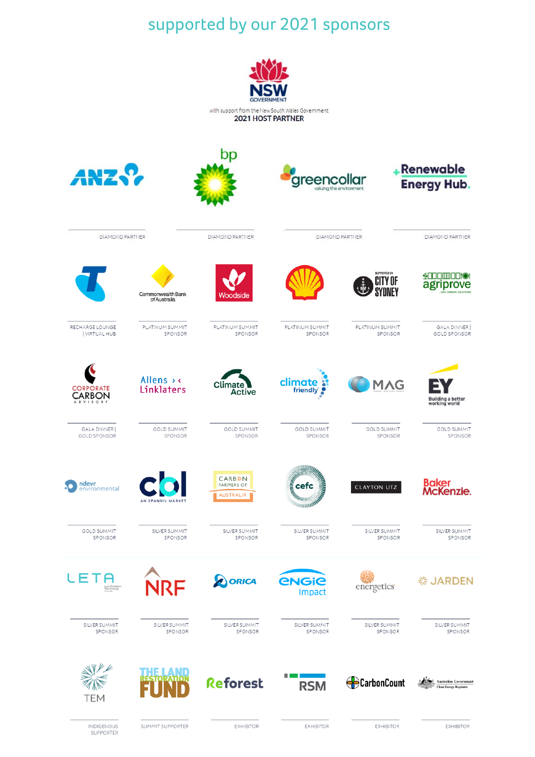## supported by our 2021 sponsors

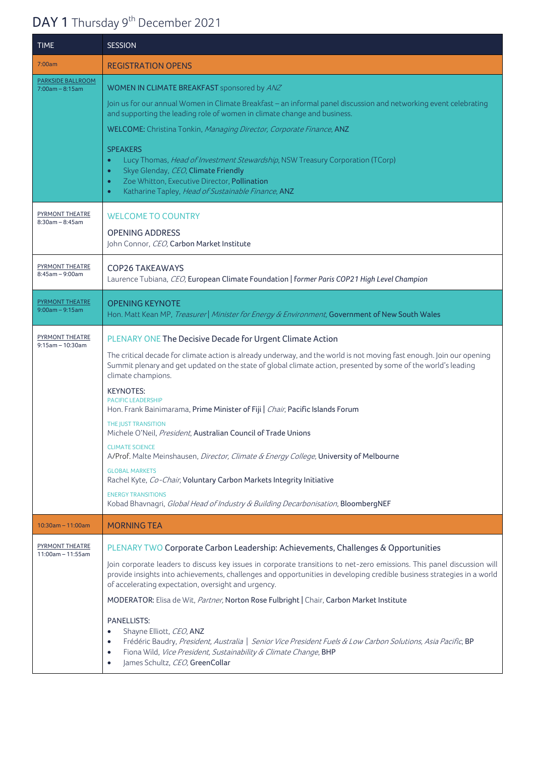## DAY 1 Thursday 9<sup>th</sup> December 2021

| <b>TIME</b>                                   | <b>SESSION</b>                                                                                                                                                                                                                                                                                                                                                                                                                                                                                                                                                                                                                                                                                                                                                                                                                                                                              |
|-----------------------------------------------|---------------------------------------------------------------------------------------------------------------------------------------------------------------------------------------------------------------------------------------------------------------------------------------------------------------------------------------------------------------------------------------------------------------------------------------------------------------------------------------------------------------------------------------------------------------------------------------------------------------------------------------------------------------------------------------------------------------------------------------------------------------------------------------------------------------------------------------------------------------------------------------------|
| 7:00am                                        | <b>REGISTRATION OPENS</b>                                                                                                                                                                                                                                                                                                                                                                                                                                                                                                                                                                                                                                                                                                                                                                                                                                                                   |
| <b>PARKSIDE BALLROOM</b><br>$7:00am - 8:15am$ | WOMEN IN CLIMATE BREAKFAST sponsored by ANZ<br>Join us for our annual Women in Climate Breakfast - an informal panel discussion and networking event celebrating<br>and supporting the leading role of women in climate change and business.<br>WELCOME: Christina Tonkin, Managing Director, Corporate Finance, ANZ<br><b>SPEAKERS</b><br>Lucy Thomas, Head of Investment Stewardship, NSW Treasury Corporation (TCorp)<br>$\bullet$<br>Skye Glenday, CEO, Climate Friendly<br>$\bullet$<br>Zoe Whitton, Executive Director, Pollination<br>$\bullet$<br>Katharine Tapley, Head of Sustainable Finance, ANZ<br>$\bullet$                                                                                                                                                                                                                                                                   |
| <b>PYRMONT THEATRE</b><br>$8:30am - 8:45am$   | <b>WELCOME TO COUNTRY</b><br><b>OPENING ADDRESS</b><br>John Connor, CEO, Carbon Market Institute                                                                                                                                                                                                                                                                                                                                                                                                                                                                                                                                                                                                                                                                                                                                                                                            |
| PYRMONT THEATRE<br>$8:45am - 9:00am$          | <b>COP26 TAKEAWAYS</b><br>Laurence Tubiana, CEO, European Climate Foundation   former Paris COP21 High Level Champion                                                                                                                                                                                                                                                                                                                                                                                                                                                                                                                                                                                                                                                                                                                                                                       |
| <b>PYRMONT THEATRE</b><br>$9:00am - 9:15am$   | <b>OPENING KEYNOTE</b><br>Hon. Matt Kean MP, Treasurer   Minister for Energy & Environment, Government of New South Wales                                                                                                                                                                                                                                                                                                                                                                                                                                                                                                                                                                                                                                                                                                                                                                   |
| <b>PYRMONT THEATRE</b><br>$9:15$ am - 10:30am | PLENARY ONE The Decisive Decade for Urgent Climate Action<br>The critical decade for climate action is already underway, and the world is not moving fast enough. Join our opening<br>Summit plenary and get updated on the state of global climate action, presented by some of the world's leading<br>climate champions.<br><b>KEYNOTES:</b><br><b>PACIFIC LEADERSHIP</b><br>Hon. Frank Bainimarama, Prime Minister of Fiji   Chair, Pacific Islands Forum<br>THE JUST TRANSITION<br>Michele O'Neil, President, Australian Council of Trade Unions<br><b>CLIMATE SCIENCE</b><br>A/Prof. Malte Meinshausen, Director, Climate & Energy College, University of Melbourne<br><b>GLOBAL MARKETS</b><br>Rachel Kyte, Co-Chair, Voluntary Carbon Markets Integrity Initiative<br><b>ENERGY TRANSITIONS</b><br>Kobad Bhavnagri, Global Head of Industry & Building Decarbonisation, BloombergNEF |
| $10:30am - 11:00am$                           | <b>MORNING TEA</b>                                                                                                                                                                                                                                                                                                                                                                                                                                                                                                                                                                                                                                                                                                                                                                                                                                                                          |
| PYRMONT THEATRE<br>$11:00am - 11:55am$        | PLENARY TWO Corporate Carbon Leadership: Achievements, Challenges & Opportunities<br>Join corporate leaders to discuss key issues in corporate transitions to net-zero emissions. This panel discussion will<br>provide insights into achievements, challenges and opportunities in developing credible business strategies in a world<br>of accelerating expectation, oversight and urgency.<br>MODERATOR: Elisa de Wit, Partner, Norton Rose Fulbright   Chair, Carbon Market Institute<br><b>PANELLISTS:</b><br>Shayne Elliott, CEO, ANZ<br>$\bullet$                                                                                                                                                                                                                                                                                                                                    |
|                                               | Frédéric Baudry, President, Australia   Senior Vice President Fuels & Low Carbon Solutions, Asia Pacific, BP<br>$\bullet$<br>Fiona Wild, Vice President, Sustainability & Climate Change, BHP<br>$\bullet$<br>James Schultz, CEO, GreenCollar<br>$\bullet$                                                                                                                                                                                                                                                                                                                                                                                                                                                                                                                                                                                                                                  |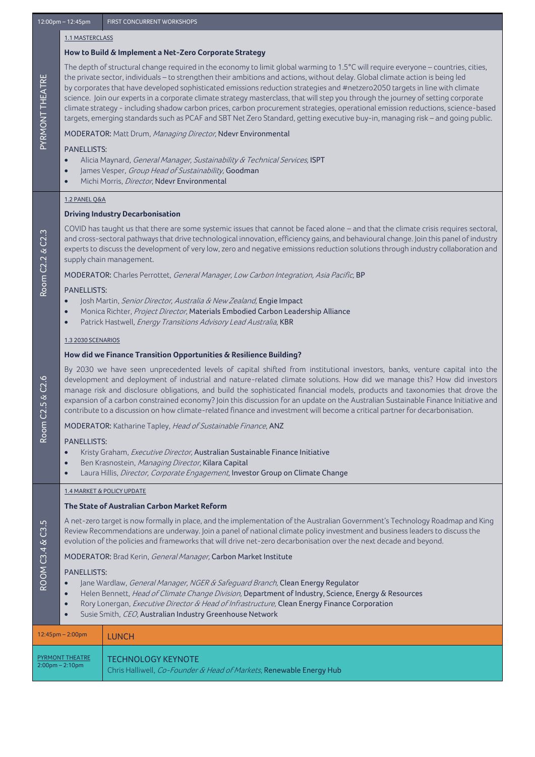#### 1.1 MASTERCLASS

#### **How to Build & Implement a Net-Zero Corporate Strategy**

The depth of structural change required in the economy to limit global warming to 1.5°C will require everyone – countries, cities, the private sector, individuals – to strengthen their ambitions and actions, without delay. Global climate action is being led by corporates that have developed sophisticated emissions reduction strategies and #netzero2050 targets in line with climate science. Join our experts in a corporate climate strategy masterclass, that will step you through the journey of setting corporate climate strategy - including shadow carbon prices, carbon procurement strategies, operational emission reductions, science-based targets, emerging standards such as PCAF and SBT Net Zero Standard, getting executive buy-in, managing risk – and going public.

#### MODERATOR: Matt Drum, Managing Director, Ndevr Environmental

#### PANELLISTS:

PYRMONT THEATRE

PYRMONT THEATRE

Room C2.2

Room C2.5

ROOM C3.4 & C3.5

**ROOM C3.4 & C3.5** 

& C2.6

& C2.3

- Alicia Maynard, General Manager, Sustainability & Technical Services, [ISPT](https://ispt.net.au/)
- James Vesper, Group Head of Sustainability, [Goodman](https://www.goodman.com/)
- Michi Morris, *Director*, Ndevr Environmental

#### 1.2 PANEL Q&A

#### **Driving Industry Decarbonisation**

COVID has taught us that there are some systemic issues that cannot be faced alone – and that the climate crisis requires sectoral, and cross-sectoral pathways that drive technological innovation, efficiency gains, and behavioural change. Join this panel of industry experts to discuss the development of very low, zero and negative emissions reduction solutions through industry collaboration and supply chain management.

MODERATOR: Charles Perrottet, General Manager, Low Carbon Integration, Asia Pacific, BP

#### PANELLISTS:

- Josh Martin, Senior Director, Australia & New Zealand, Engie Impact
- Monica Richter, Project Director, Materials Embodied Carbon Leadership Alliance
- Patrick Hastwell, Energy Transitions Advisory Lead Australia, KBR

#### 1.3 2030 SCENARIOS

#### **How did we Finance Transition Opportunities & Resilience Building?**

By 2030 we have seen unprecedented levels of capital shifted from institutional investors, banks, venture capital into the development and deployment of industrial and nature-related climate solutions. How did we manage this? How did investors manage risk and disclosure obligations, and build the sophisticated financial models, products and taxonomies that drove the expansion of a carbon constrained economy? Join this discussion for an update on the Australian Sustainable Finance Initiative and contribute to a discussion on how climate-related finance and investment will become a critical partner for decarbonisation.

MODERATOR: Katharine Tapley, Head of Sustainable Finance, ANZ

#### PANELLISTS:

- Kristy Graham, Executive Director, Australian Sustainable Finance Initiative
- Ben Krasnostein, Managing Director, Kilara Capital
- Laura Hillis, *Director, Corporate Engagement*, Investor Group on Climate Change

#### 1.4 MARKET & POLICY UPDATE

#### **The State of Australian Carbon Market Reform**

A net-zero target is now formally in place, and the implementation of the Australian Government's Technology Roadmap and King Review Recommendations are underway. Join a panel of national climate policy investment and business leaders to discuss the evolution of the policies and frameworks that will drive net-zero decarbonisation over the next decade and beyond.

#### MODERATOR: Brad Kerin, General Manager, Carbon Market Institute

#### PANELLISTS:

- Jane Wardlaw, *General Manager, NGER & Safeguard Branch*, Clean Energy Regulator
- Helen Bennett, Head of Climate Change Division, Department of Industry, Science, Energy & Resources
- Rory Lonergan, *Executive Director & Head of Infrastructure*, Clean Energy Finance Corporation
- Susie Smith, CEO, Australian Industry Greenhouse Network

| $12:45$ pm – 2:00pm    | <b>LUNCH</b>                                                                           |
|------------------------|----------------------------------------------------------------------------------------|
| <b>PYRMONT THEATRE</b> | <b>TECHNOLOGY KEYNOTE</b>                                                              |
| $2:00$ pm – 2:10pm     | Chris Halliwell, <i>Co-Founder &amp; Head of Markets</i> , <b>Renewable Energy Hub</b> |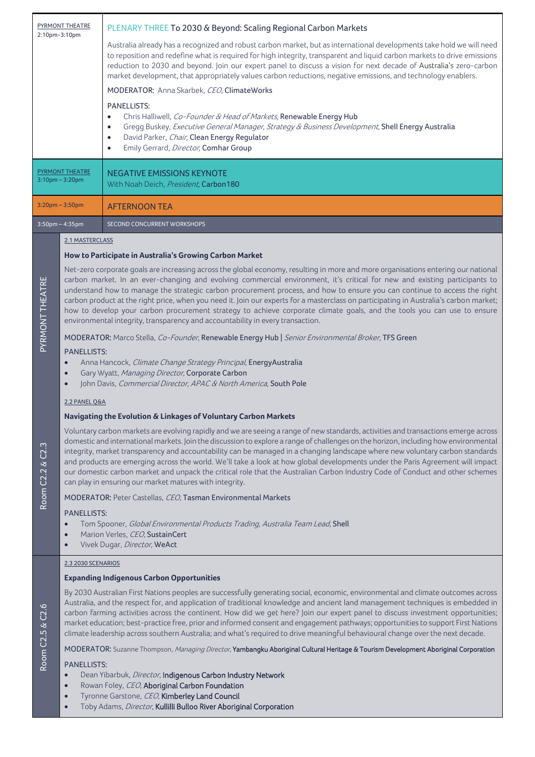| <b>PYRMONT THEATRE</b><br>2:10pm-3:10pm                   |                                                                                                                                                                                                                                                                                                                                                                                                                                                                                                                                                                                                                                                                                                                                                     | PLENARY THREE To 2030 & Beyond: Scaling Regional Carbon Markets<br>Australia already has a recognized and robust carbon market, but as international developments take hold we will need<br>to reposition and redefine what is required for high integrity, transparent and liquid carbon markets to drive emissions<br>reduction to 2030 and beyond. Join our expert panel to discuss a vision for next decade of Australia's zero-carbon<br>market development, that appropriately values carbon reductions, negative emissions, and technology enablers.<br>MODERATOR: Anna Skarbek, CEO, ClimateWorks<br><b>PANELLISTS:</b><br>Chris Halliwell, Co-Founder & Head of Markets, Renewable Energy Hub<br>$\bullet$<br>Gregg Buskey, Executive General Manager, Strategy & Business Development, Shell Energy Australia<br>$\bullet$<br>David Parker, Chair, Clean Energy Regulator<br>$\bullet$<br>Emily Gerrard, Director, Comhar Group<br>$\bullet$ |  |  |
|-----------------------------------------------------------|-----------------------------------------------------------------------------------------------------------------------------------------------------------------------------------------------------------------------------------------------------------------------------------------------------------------------------------------------------------------------------------------------------------------------------------------------------------------------------------------------------------------------------------------------------------------------------------------------------------------------------------------------------------------------------------------------------------------------------------------------------|--------------------------------------------------------------------------------------------------------------------------------------------------------------------------------------------------------------------------------------------------------------------------------------------------------------------------------------------------------------------------------------------------------------------------------------------------------------------------------------------------------------------------------------------------------------------------------------------------------------------------------------------------------------------------------------------------------------------------------------------------------------------------------------------------------------------------------------------------------------------------------------------------------------------------------------------------------|--|--|
| <b>PYRMONT THEATRE</b><br>$3:10$ pm $-3:20$ pm            |                                                                                                                                                                                                                                                                                                                                                                                                                                                                                                                                                                                                                                                                                                                                                     | <b>NEGATIVE EMISSIONS KEYNOTE</b><br>With Noah Deich, President, Carbon180                                                                                                                                                                                                                                                                                                                                                                                                                                                                                                                                                                                                                                                                                                                                                                                                                                                                             |  |  |
| $3:20$ pm $-3:50$ pm                                      |                                                                                                                                                                                                                                                                                                                                                                                                                                                                                                                                                                                                                                                                                                                                                     | <b>AFTERNOON TEA</b>                                                                                                                                                                                                                                                                                                                                                                                                                                                                                                                                                                                                                                                                                                                                                                                                                                                                                                                                   |  |  |
|                                                           | $3:50$ pm – 4:35pm                                                                                                                                                                                                                                                                                                                                                                                                                                                                                                                                                                                                                                                                                                                                  | SECOND CONCURRENT WORKSHOPS                                                                                                                                                                                                                                                                                                                                                                                                                                                                                                                                                                                                                                                                                                                                                                                                                                                                                                                            |  |  |
|                                                           | 2.1 MASTERCLASS                                                                                                                                                                                                                                                                                                                                                                                                                                                                                                                                                                                                                                                                                                                                     |                                                                                                                                                                                                                                                                                                                                                                                                                                                                                                                                                                                                                                                                                                                                                                                                                                                                                                                                                        |  |  |
|                                                           |                                                                                                                                                                                                                                                                                                                                                                                                                                                                                                                                                                                                                                                                                                                                                     | How to Participate in Australia's Growing Carbon Market                                                                                                                                                                                                                                                                                                                                                                                                                                                                                                                                                                                                                                                                                                                                                                                                                                                                                                |  |  |
| PYRMONT THEATRE                                           | Net-zero corporate goals are increasing across the global economy, resulting in more and more organisations entering our national<br>carbon market. In an ever-changing and evolving commercial environment, it's critical for new and existing participants to<br>understand how to manage the strategic carbon procurement process, and how to ensure you can continue to access the right<br>carbon product at the right price, when you need it. Join our experts for a masterclass on participating in Australia's carbon market;<br>how to develop your carbon procurement strategy to achieve corporate climate goals, and the tools you can use to ensure<br>environmental integrity, transparency and accountability in every transaction. |                                                                                                                                                                                                                                                                                                                                                                                                                                                                                                                                                                                                                                                                                                                                                                                                                                                                                                                                                        |  |  |
|                                                           |                                                                                                                                                                                                                                                                                                                                                                                                                                                                                                                                                                                                                                                                                                                                                     | MODERATOR: Marco Stella, Co-Founder, Renewable Energy Hub   Senior Environmental Broker, TFS Green                                                                                                                                                                                                                                                                                                                                                                                                                                                                                                                                                                                                                                                                                                                                                                                                                                                     |  |  |
|                                                           | <b>PANELLISTS:</b><br>Anna Hancock, Climate Change Strategy Principal, Energy Australia<br>$\bullet$<br>Gary Wyatt, Managing Director, Corporate Carbon<br>$\bullet$<br>John Davis, Commercial Director, APAC & North America, South Pole                                                                                                                                                                                                                                                                                                                                                                                                                                                                                                           |                                                                                                                                                                                                                                                                                                                                                                                                                                                                                                                                                                                                                                                                                                                                                                                                                                                                                                                                                        |  |  |
|                                                           | 2.2 PANEL Q&A                                                                                                                                                                                                                                                                                                                                                                                                                                                                                                                                                                                                                                                                                                                                       |                                                                                                                                                                                                                                                                                                                                                                                                                                                                                                                                                                                                                                                                                                                                                                                                                                                                                                                                                        |  |  |
|                                                           |                                                                                                                                                                                                                                                                                                                                                                                                                                                                                                                                                                                                                                                                                                                                                     | Navigating the Evolution & Linkages of Voluntary Carbon Markets                                                                                                                                                                                                                                                                                                                                                                                                                                                                                                                                                                                                                                                                                                                                                                                                                                                                                        |  |  |
| $\ddot{\Omega}$<br>S.<br>$\infty$<br>Room C2.2            |                                                                                                                                                                                                                                                                                                                                                                                                                                                                                                                                                                                                                                                                                                                                                     | Voluntary carbon markets are evolving rapidly and we are seeing a range of new standards, activities and transactions emerge across<br>domestic and international markets. Join the discussion to explore a range of challenges on the horizon, including how environmental<br>integrity, market transparency and accountability can be managed in a changing landscape where new voluntary carbon standards<br>and products are emerging across the world. We'll take a look at how global developments under the Paris Agreement will impact<br>our domestic carbon market and unpack the critical role that the Australian Carbon Industry Code of Conduct and other schemes<br>can play in ensuring our market matures with integrity.                                                                                                                                                                                                             |  |  |
|                                                           |                                                                                                                                                                                                                                                                                                                                                                                                                                                                                                                                                                                                                                                                                                                                                     | MODERATOR: Peter Castellas, CEO, Tasman Environmental Markets                                                                                                                                                                                                                                                                                                                                                                                                                                                                                                                                                                                                                                                                                                                                                                                                                                                                                          |  |  |
|                                                           | <b>PANELLISTS:</b><br>$\bullet$<br>$\bullet$<br>$\bullet$                                                                                                                                                                                                                                                                                                                                                                                                                                                                                                                                                                                                                                                                                           | Tom Spooner, Global Environmental Products Trading, Australia Team Lead, Shell<br>Marion Verles, CEO, SustainCert<br>Vivek Dugar, Director, WeAct                                                                                                                                                                                                                                                                                                                                                                                                                                                                                                                                                                                                                                                                                                                                                                                                      |  |  |
|                                                           | 2.3 2030 SCENARIOS                                                                                                                                                                                                                                                                                                                                                                                                                                                                                                                                                                                                                                                                                                                                  |                                                                                                                                                                                                                                                                                                                                                                                                                                                                                                                                                                                                                                                                                                                                                                                                                                                                                                                                                        |  |  |
|                                                           |                                                                                                                                                                                                                                                                                                                                                                                                                                                                                                                                                                                                                                                                                                                                                     | <b>Expanding Indigenous Carbon Opportunities</b>                                                                                                                                                                                                                                                                                                                                                                                                                                                                                                                                                                                                                                                                                                                                                                                                                                                                                                       |  |  |
| C2.6<br>$\frac{2}{3}$ and $\frac{1}{2}$ and $\frac{1}{2}$ |                                                                                                                                                                                                                                                                                                                                                                                                                                                                                                                                                                                                                                                                                                                                                     | By 2030 Australian First Nations peoples are successfully generating social, economic, environmental and climate outcomes across<br>Australia, and the respect for, and application of traditional knowledge and ancient land management techniques is embedded in<br>carbon farming activities across the continent. How did we get here? Join our expert panel to discuss investment opportunities;<br>market education; best-practice free, prior and informed consent and engagement pathways; opportunities to support First Nations<br>climate leadership across southern Australia; and what's required to drive meaningful behavioural change over the next decade.                                                                                                                                                                                                                                                                            |  |  |
|                                                           |                                                                                                                                                                                                                                                                                                                                                                                                                                                                                                                                                                                                                                                                                                                                                     | MODERATOR: Suzanne Thompson, Managing Director, Yambangku Aboriginal Cultural Heritage & Tourism Development Aboriginal Corporation                                                                                                                                                                                                                                                                                                                                                                                                                                                                                                                                                                                                                                                                                                                                                                                                                    |  |  |
|                                                           | <b>PANELLISTS:</b>                                                                                                                                                                                                                                                                                                                                                                                                                                                                                                                                                                                                                                                                                                                                  |                                                                                                                                                                                                                                                                                                                                                                                                                                                                                                                                                                                                                                                                                                                                                                                                                                                                                                                                                        |  |  |

- Dean Yibarbuk, Director, Indigenous Carbon Industry Network
- Rowan Foley, *CEO*, **Aboriginal Carbon Foundation**<br>• Tyronne Garstone, *CEO*, **Kimberley Land Council**<br>• Toby Adams, *Director*, **Kullilli Bulloo River Aborigin**
- Tyronne Garstone, CEO, Kimberley Land Council
- Toby Adams, *Director*, Kullilli Bulloo River Aboriginal Corporation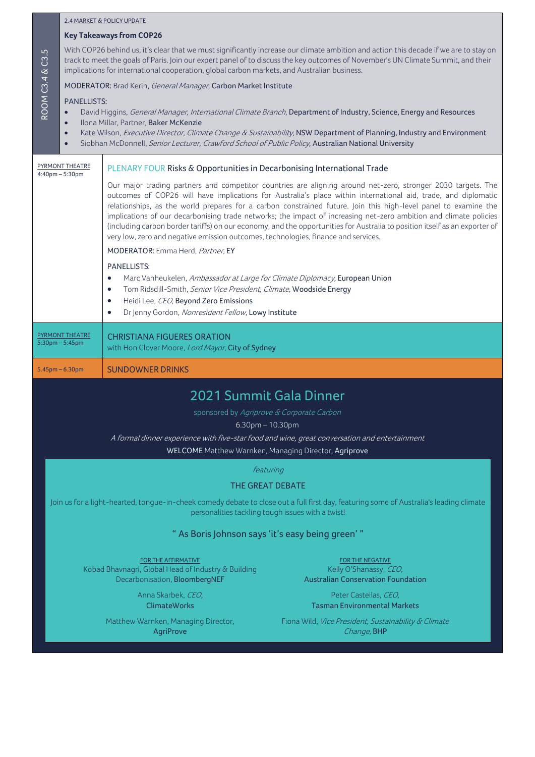| 2.4 MARKET & POLICY UPDATE |  |
|----------------------------|--|
|                            |  |

#### **Key Takeaways from COP26**

With COP26 behind us, it's clear that we must significantly increase our climate ambition and action this decade if we are to stay on track to meet the goals of Paris. Join our expert panel of to discuss the key outcomes of November's UN Climate Summit, and their implications for international cooperation, global carbon markets, and Australian business.

#### MODERATOR: Brad Kerin, General Manager, Carbon Market Institute

#### PANELLISTS:

- David Higgins, General Manager, International Climate Branch, Department of Industry, Science, Energy and Resources
- Ilona Millar, Partner, Baker McKenzie
- Kate Wilson, Executive Director, Climate Change & Sustainability, NSW Department of Planning, Industry and Environment
- Siobhan McDonnell, Senior Lecturer, Crawford School of Public Policy, Australian National University

| PYRMONT THEATRE<br>$4:40$ pm $-5:30$ pm        | PLENARY FOUR Risks & Opportunities in Decarbonising International Trade<br>Our major trading partners and competitor countries are aligning around net-zero, stronger 2030 targets. The<br>outcomes of COP26 will have implications for Australia's place within international aid, trade, and diplomatic<br>relationships, as the world prepares for a carbon constrained future. Join this high-level panel to examine the<br>implications of our decarbonising trade networks; the impact of increasing net-zero ambition and climate policies<br>(including carbon border tariffs) on our economy, and the opportunities for Australia to position itself as an exporter of<br>very low, zero and negative emission outcomes, technologies, finance and services. |
|------------------------------------------------|-----------------------------------------------------------------------------------------------------------------------------------------------------------------------------------------------------------------------------------------------------------------------------------------------------------------------------------------------------------------------------------------------------------------------------------------------------------------------------------------------------------------------------------------------------------------------------------------------------------------------------------------------------------------------------------------------------------------------------------------------------------------------|
|                                                | MODERATOR: Emma Herd, Partner, EY                                                                                                                                                                                                                                                                                                                                                                                                                                                                                                                                                                                                                                                                                                                                     |
|                                                | <b>PANELLISTS:</b><br>Marc Vanheukelen, Ambassador at Large for Climate Diplomacy, European Union<br>$\bullet$<br>Tom Ridsdill-Smith, Senior Vice President, Climate, Woodside Energy<br>$\bullet$<br>Heidi Lee, CEO, Beyond Zero Emissions<br>$\bullet$<br>Dr Jenny Gordon, Nonresident Fellow, Lowy Institute                                                                                                                                                                                                                                                                                                                                                                                                                                                       |
| <b>PYRMONT THEATRE</b><br>$5:30$ pm $-5:45$ pm | <b>CHRISTIANA FIGUERES ORATION</b><br>with Hon Clover Moore, <i>Lord Mayor</i> , City of Sydney                                                                                                                                                                                                                                                                                                                                                                                                                                                                                                                                                                                                                                                                       |
| $5.45$ pm – 6.30pm                             | <b>SUNDOWNER DRINKS</b>                                                                                                                                                                                                                                                                                                                                                                                                                                                                                                                                                                                                                                                                                                                                               |

### 2021 Summit Gala Dinner

sponsored by Agriprove & Corporate Carbon

6.30pm – 10.30pm

A formal dinner experience with five-star food and wine, great conversation and entertainment

WELCOME Matthew Warnken, Managing Director, Agriprove

#### featuring

#### THE GREAT DEBATE

Join us for a light-hearted, tongue-in-cheek comedy debate to close out a full first day, featuring some of Australia's leading climate personalities tackling tough issues with a twist!

#### " As Boris Johnson says 'it's easy being green' "

FOR THE AFFIRMATIVE FOR THE NEGATIVE Kobad Bhavnagri, Global Head of Industry & Building Decarbonisation, BloombergNEF

> Anna Skarbek, CEO, ClimateWorks

Matthew Warnken, Managing Director, **AgriProve** 

Kelly O'Shanassy, CEO, Australian Conservation Foundation

Peter Castellas, CEO, Tasman Environmental Markets

Fiona Wild, Vice President, Sustainability & Climate Change, BHP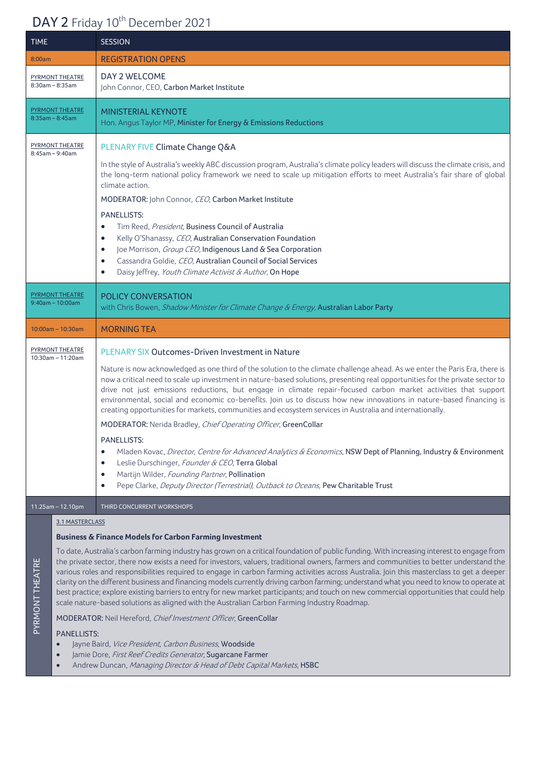## DAY 2 Friday 10<sup>th</sup> December 2021

| <b>TIME</b>                                     | <b>SESSION</b>                                                                                                                                                                                                                                                                                                                                                                                                                                                                                                                                                                                                                                                                                                                                                                                                                                                                                                                                                                                                                                                                                                                    |
|-------------------------------------------------|-----------------------------------------------------------------------------------------------------------------------------------------------------------------------------------------------------------------------------------------------------------------------------------------------------------------------------------------------------------------------------------------------------------------------------------------------------------------------------------------------------------------------------------------------------------------------------------------------------------------------------------------------------------------------------------------------------------------------------------------------------------------------------------------------------------------------------------------------------------------------------------------------------------------------------------------------------------------------------------------------------------------------------------------------------------------------------------------------------------------------------------|
| 8:00am                                          | <b>REGISTRATION OPENS</b>                                                                                                                                                                                                                                                                                                                                                                                                                                                                                                                                                                                                                                                                                                                                                                                                                                                                                                                                                                                                                                                                                                         |
| <b>PYRMONT THEATRE</b><br>$8:30$ am - $8:35$ am | DAY 2 WELCOME<br>John Connor, CEO, Carbon Market Institute                                                                                                                                                                                                                                                                                                                                                                                                                                                                                                                                                                                                                                                                                                                                                                                                                                                                                                                                                                                                                                                                        |
| <b>PYRMONT THEATRE</b><br>$8:35am - 8:45am$     | <b>MINISTERIAL KEYNOTE</b><br>Hon. Angus Taylor MP, Minister for Energy & Emissions Reductions                                                                                                                                                                                                                                                                                                                                                                                                                                                                                                                                                                                                                                                                                                                                                                                                                                                                                                                                                                                                                                    |
| PYRMONT THEATRE<br>$8:45am - 9:40am$            | PLENARY FIVE Climate Change Q&A<br>In the style of Australia's weekly ABC discussion program, Australia's climate policy leaders will discuss the climate crisis, and<br>the long-term national policy framework we need to scale up mitigation efforts to meet Australia's fair share of global<br>climate action.<br>MODERATOR: John Connor, CEO, Carbon Market Institute<br><b>PANELLISTS:</b><br>Tim Reed, President, Business Council of Australia<br>$\bullet$<br>Kelly O'Shanassy, CEO, Australian Conservation Foundation<br>$\bullet$<br>Joe Morrison, Group CEO, Indigenous Land & Sea Corporation<br>$\bullet$<br>Cassandra Goldie, CEO, Australian Council of Social Services<br>$\bullet$<br>Daisy Jeffrey, Youth Climate Activist & Author, On Hope<br>$\bullet$                                                                                                                                                                                                                                                                                                                                                    |
| <b>PYRMONT THEATRE</b><br>$9:40am - 10:00am$    | POLICY CONVERSATION<br>with Chris Bowen, Shadow Minister for Climate Change & Energy, Australian Labor Party                                                                                                                                                                                                                                                                                                                                                                                                                                                                                                                                                                                                                                                                                                                                                                                                                                                                                                                                                                                                                      |
| $10:00$ am - 10:30am                            | <b>MORNING TEA</b>                                                                                                                                                                                                                                                                                                                                                                                                                                                                                                                                                                                                                                                                                                                                                                                                                                                                                                                                                                                                                                                                                                                |
| PYRMONT THEATRE<br>$10:30$ am - 11:20am         | PLENARY SIX Outcomes-Driven Investment in Nature<br>Nature is now acknowledged as one third of the solution to the climate challenge ahead. As we enter the Paris Era, there is<br>now a critical need to scale up investment in nature-based solutions, presenting real opportunities for the private sector to<br>drive not just emissions reductions, but engage in climate repair-focused carbon market activities that support<br>environmental, social and economic co-benefits. Join us to discuss how new innovations in nature-based financing is<br>creating opportunities for markets, communities and ecosystem services in Australia and internationally.<br>MODERATOR: Nerida Bradley, Chief Operating Officer, GreenCollar<br><b>PANELLISTS:</b><br>Mladen Kovac, Director, Centre for Advanced Analytics & Economics, NSW Dept of Planning, Industry & Environment<br>$\bullet$<br>Leslie Durschinger, Founder & CEO, Terra Global<br>$\bullet$<br>Martijn Wilder, Founding Partner, Pollination<br>$\bullet$<br>Pepe Clarke, Deputy Director (Terrestrial), Outback to Oceans, Pew Charitable Trust<br>$\bullet$ |
| $11.25$ am - 12.10pm                            | THIRD CONCURRENT WORKSHOPS                                                                                                                                                                                                                                                                                                                                                                                                                                                                                                                                                                                                                                                                                                                                                                                                                                                                                                                                                                                                                                                                                                        |
| 3.1 MASTERCLASS                                 | <b>Business &amp; Finance Models for Carbon Farming Investment</b>                                                                                                                                                                                                                                                                                                                                                                                                                                                                                                                                                                                                                                                                                                                                                                                                                                                                                                                                                                                                                                                                |

To date, Australia's carbon farming industry has grown on a critical foundation of public funding. With increasing interest to engage from the private sector, there now exists a need for investors, valuers, traditional owners, farmers and communities to better understand the various roles and responsibilities required to engage in carbon farming activities across Australia. Join this masterclass to get a deeper clarity on the different business and financing models currently driving carbon farming; understand what you need to know to operate at best practice; explore existing barriers to entry for new market participants; and touch on new commercial opportunities that could help scale nature-based solutions as aligned with the Australian Carbon Farming Industry Roadmap.

MODERATOR: Neil Hereford, Chief Investment Officer, GreenCollar

#### PANELLISTS:

PYRMONT THEATRE

PYRMONT THEATRE

- Jayne Baird, Vice President, Carbon Business, Woodside
- Jamie Dore, First Reef Credits Generator, Sugarcane Farmer
- Andrew Duncan, Managing Director & Head of Debt Capital Markets, HSBC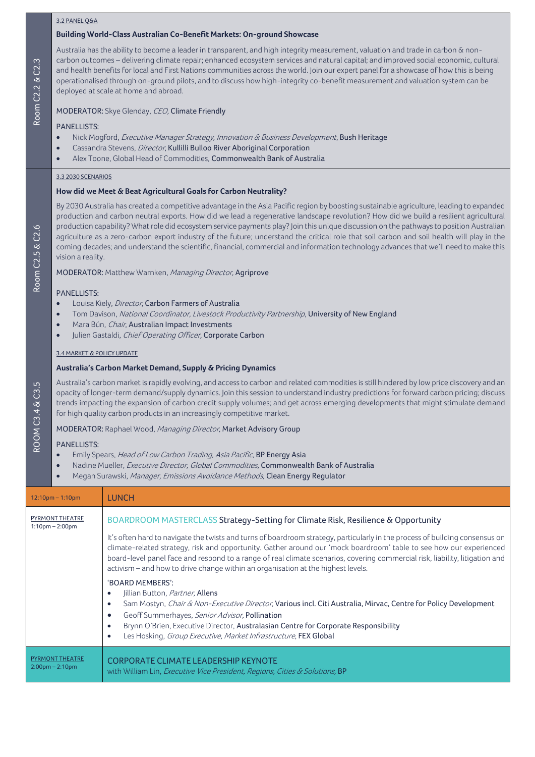#### 3.2 PANEL Q&A

#### **Building World-Class Australian Co-Benefit Markets: On-ground Showcase**

Australia has the ability to become a leader in transparent, and high integrity measurement, valuation and trade in carbon & noncarbon outcomes – delivering climate repair; enhanced ecosystem services and natural capital; and improved social economic, cultural and health benefits for local and First Nations communities across the world. Join our expert panel for a showcase of how this is being operationalised through on-ground pilots, and to discuss how high-integrity co-benefit measurement and valuation system can be deployed at scale at home and abroad.

#### MODERATOR: Skye Glenday, CEO, Climate Friendly

#### PANELLISTS:

Room C2.2

Room C2.5

ROOM C3.4 & C3.5

ROOM C3.4 & C3.5

& C2.6

& C2.3

- Nick Mogford, Executive Manager Strategy, Innovation & Business Development, Bush Heritage
- Cassandra Stevens, *Director*, Kullilli Bulloo River Aboriginal Corporation
- Alex Toone, Global Head of Commodities, Commonwealth Bank of Australia

#### 3.3 2030 SCENARIOS

#### **How did we Meet & Beat Agricultural Goals for Carbon Neutrality?**

By 2030 Australia has created a competitive advantage in the Asia Pacific region by boosting sustainable agriculture, leading to expanded production and carbon neutral exports. How did we lead a regenerative landscape revolution? How did we build a resilient agricultural production capability? What role did ecosystem service payments play? Join this unique discussion on the pathways to position Australian agriculture as a zero-carbon export industry of the future; understand the critical role that soil carbon and soil health will play in the coming decades; and understand the scientific, financial, commercial and information technology advances that we'll need to make this vision a reality.

MODERATOR: Matthew Warnken, Managing Director, Agriprove

#### PANELLISTS:

- Louisa Kiely, *Director*, Carbon Farmers of Australia
- Tom Davison, National Coordinator, Livestock Productivity Partnership, University of New England
- Mara Bún, Chair, Australian Impact Investments
- Julien Gastaldi, Chief Operating Officer, Corporate Carbon

#### 3.4 MARKET & POLICY UPDATE

#### **Australia's Carbon Market Demand, Supply & Pricing Dynamics**

Australia's carbon market is rapidly evolving, and access to carbon and related commodities is still hindered by low price discovery and an opacity of longer-term demand/supply dynamics. Join this session to understand industry predictions for forward carbon pricing; discuss trends impacting the expansion of carbon credit supply volumes; and get across emerging developments that might stimulate demand for high quality carbon products in an increasingly competitive market.

MODERATOR: Raphael Wood, Managing Director, Market Advisory Group

#### PANELLISTS:

- Emily Spears, Head of Low Carbon Trading, Asia Pacific, BP Energy Asia
- Nadine Mueller, Executive Director, Global Commodities, Commonwealth Bank of Australia
- Megan Surawski, Manager, Emissions Avoidance Methods, Clean Energy Regulator

| $12:10$ pm – 1:10pm                          | <b>LUNCH</b>                                                                                                                                                                                                                                                                                                                                                                                                                                                                                                                                                                                                                                                                                                                                                                                                                                                                                                                                                                             |
|----------------------------------------------|------------------------------------------------------------------------------------------------------------------------------------------------------------------------------------------------------------------------------------------------------------------------------------------------------------------------------------------------------------------------------------------------------------------------------------------------------------------------------------------------------------------------------------------------------------------------------------------------------------------------------------------------------------------------------------------------------------------------------------------------------------------------------------------------------------------------------------------------------------------------------------------------------------------------------------------------------------------------------------------|
| PYRMONT THEATRE<br>$1:10$ pm $- 2:00$ pm     | BOARDROOM MASTERCLASS Strategy-Setting for Climate Risk, Resilience & Opportunity<br>It's often hard to navigate the twists and turns of boardroom strategy, particularly in the process of building consensus on<br>climate-related strategy, risk and opportunity. Gather around our 'mock boardroom' table to see how our experienced<br>board-level panel face and respond to a range of real climate scenarios, covering commercial risk, liability, litigation and<br>activism – and how to drive change within an organisation at the highest levels.<br>'BOARD MEMBERS':<br>Jillian Button, Partner, Allens<br>Sam Mostyn, <i>Chair &amp; Non-Executive Director</i> , Various incl. Citi Australia, Mirvac, Centre for Policy Development<br>Geoff Summerhayes, Senior Advisor, Pollination<br>$\bullet$<br>Brynn O'Brien, Executive Director, Australasian Centre for Corporate Responsibility<br>Les Hosking, Group Executive, Market Infrastructure, FEX Global<br>$\bullet$ |
| <b>PYRMONT THEATRE</b><br>$2:00$ pm – 2:10pm | <b>CORPORATE CLIMATE LEADERSHIP KEYNOTE</b><br>with William Lin, <i>Executive Vice President, Regions, Cities &amp; Solutions</i> , <b>BP</b>                                                                                                                                                                                                                                                                                                                                                                                                                                                                                                                                                                                                                                                                                                                                                                                                                                            |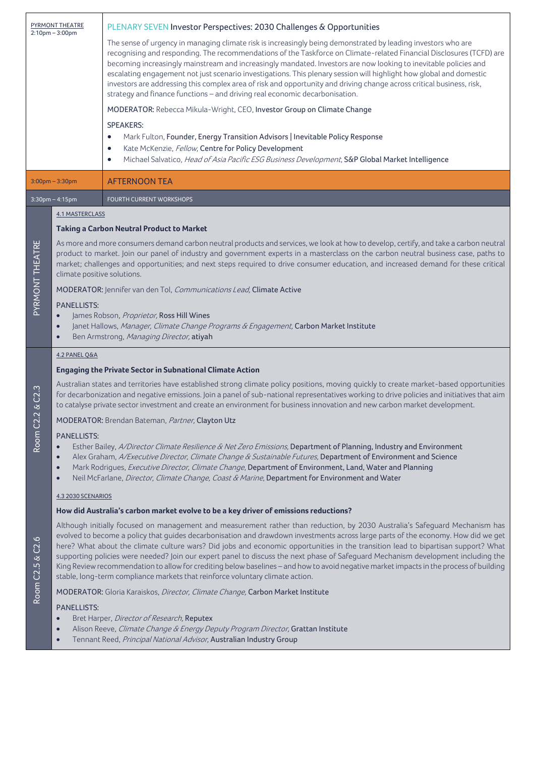| PYRMONT THEATRE<br>$2:10$ pm $-3:00$ pm |                                                                                                                                                                                                                                                                                                                                                                                                                                                   | PLENARY SEVEN Investor Perspectives: 2030 Challenges & Opportunities                                                                                                                                                                                                                                                                                                                                                                                                                                                                                                                                                                                                                                                                                                   |
|-----------------------------------------|---------------------------------------------------------------------------------------------------------------------------------------------------------------------------------------------------------------------------------------------------------------------------------------------------------------------------------------------------------------------------------------------------------------------------------------------------|------------------------------------------------------------------------------------------------------------------------------------------------------------------------------------------------------------------------------------------------------------------------------------------------------------------------------------------------------------------------------------------------------------------------------------------------------------------------------------------------------------------------------------------------------------------------------------------------------------------------------------------------------------------------------------------------------------------------------------------------------------------------|
|                                         |                                                                                                                                                                                                                                                                                                                                                                                                                                                   | The sense of urgency in managing climate risk is increasingly being demonstrated by leading investors who are<br>recognising and responding. The recommendations of the Taskforce on Climate-related Financial Disclosures (TCFD) are<br>becoming increasingly mainstream and increasingly mandated. Investors are now looking to inevitable policies and<br>escalating engagement not just scenario investigations. This plenary session will highlight how global and domestic<br>investors are addressing this complex area of risk and opportunity and driving change across critical business, risk,<br>strategy and finance functions - and driving real economic decarbonisation.                                                                               |
|                                         |                                                                                                                                                                                                                                                                                                                                                                                                                                                   | MODERATOR: Rebecca Mikula-Wright, CEO, Investor Group on Climate Change                                                                                                                                                                                                                                                                                                                                                                                                                                                                                                                                                                                                                                                                                                |
|                                         |                                                                                                                                                                                                                                                                                                                                                                                                                                                   | <b>SPEAKERS:</b><br>Mark Fulton, Founder, Energy Transition Advisors   Inevitable Policy Response<br>$\bullet$<br>Kate McKenzie, Fellow, Centre for Policy Development<br>$\bullet$<br>Michael Salvatico, Head of Asia Pacific ESG Business Development, S&P Global Market Intelligence<br>$\bullet$                                                                                                                                                                                                                                                                                                                                                                                                                                                                   |
|                                         | $3:00$ pm – $3:30$ pm                                                                                                                                                                                                                                                                                                                                                                                                                             | <b>AFTERNOON TEA</b>                                                                                                                                                                                                                                                                                                                                                                                                                                                                                                                                                                                                                                                                                                                                                   |
|                                         | $3:30$ pm – 4:15pm                                                                                                                                                                                                                                                                                                                                                                                                                                | <b>FOURTH CURRENT WORKSHOPS</b>                                                                                                                                                                                                                                                                                                                                                                                                                                                                                                                                                                                                                                                                                                                                        |
|                                         | <b>4.1 MASTERCLASS</b>                                                                                                                                                                                                                                                                                                                                                                                                                            |                                                                                                                                                                                                                                                                                                                                                                                                                                                                                                                                                                                                                                                                                                                                                                        |
|                                         |                                                                                                                                                                                                                                                                                                                                                                                                                                                   | <b>Taking a Carbon Neutral Product to Market</b>                                                                                                                                                                                                                                                                                                                                                                                                                                                                                                                                                                                                                                                                                                                       |
| PYRMONT THEATRE                         | As more and more consumers demand carbon neutral products and services, we look at how to develop, certify, and take a carbon neutral<br>product to market. Join our panel of industry and government experts in a masterclass on the carbon neutral business case, paths to<br>market; challenges and opportunities; and next steps required to drive consumer education, and increased demand for these critical<br>climate positive solutions. |                                                                                                                                                                                                                                                                                                                                                                                                                                                                                                                                                                                                                                                                                                                                                                        |
|                                         | MODERATOR: Jennifer van den Tol, Communications Lead, Climate Active                                                                                                                                                                                                                                                                                                                                                                              |                                                                                                                                                                                                                                                                                                                                                                                                                                                                                                                                                                                                                                                                                                                                                                        |
|                                         | <b>PANELLISTS:</b><br>James Robson, Proprietor, Ross Hill Wines<br>Janet Hallows, Manager, Climate Change Programs & Engagement, Carbon Market Institute<br>$\bullet$<br>Ben Armstrong, Managing Director, atiyah                                                                                                                                                                                                                                 |                                                                                                                                                                                                                                                                                                                                                                                                                                                                                                                                                                                                                                                                                                                                                                        |
|                                         | 4.2 PANEL O&A                                                                                                                                                                                                                                                                                                                                                                                                                                     |                                                                                                                                                                                                                                                                                                                                                                                                                                                                                                                                                                                                                                                                                                                                                                        |
|                                         |                                                                                                                                                                                                                                                                                                                                                                                                                                                   | <b>Engaging the Private Sector in Subnational Climate Action</b>                                                                                                                                                                                                                                                                                                                                                                                                                                                                                                                                                                                                                                                                                                       |
| C2.3<br>$\infty$                        |                                                                                                                                                                                                                                                                                                                                                                                                                                                   | Australian states and territories have established strong climate policy positions, moving quickly to create market-based opportunities<br>for decarbonization and negative emissions. Join a panel of sub-national representatives working to drive policies and initiatives that aim<br>to catalyse private sector investment and create an environment for business innovation and new carbon market development.                                                                                                                                                                                                                                                                                                                                                   |
| $\overline{\mathcal{L}}$                |                                                                                                                                                                                                                                                                                                                                                                                                                                                   | MODERATOR: Brendan Bateman, Partner, Clayton Utz                                                                                                                                                                                                                                                                                                                                                                                                                                                                                                                                                                                                                                                                                                                       |
| Room C2                                 | <b>PANELLISTS:</b><br>$\bullet$<br>$\bullet$<br>$\bullet$                                                                                                                                                                                                                                                                                                                                                                                         | Esther Bailey, A/Director Climate Resilience & Net Zero Emissions, Department of Planning, Industry and Environment<br>Alex Graham, A/Executive Director, Climate Change & Sustainable Futures, Department of Environment and Science<br>Mark Rodrigues, Executive Director, Climate Change, Department of Environment, Land, Water and Planning<br>Neil McFarlane, Director, Climate Change, Coast & Marine, Department for Environment and Water                                                                                                                                                                                                                                                                                                                     |
|                                         | 4.3 2030 SCENARIOS                                                                                                                                                                                                                                                                                                                                                                                                                                |                                                                                                                                                                                                                                                                                                                                                                                                                                                                                                                                                                                                                                                                                                                                                                        |
|                                         |                                                                                                                                                                                                                                                                                                                                                                                                                                                   | How did Australia's carbon market evolve to be a key driver of emissions reductions?                                                                                                                                                                                                                                                                                                                                                                                                                                                                                                                                                                                                                                                                                   |
| C2.6<br>ঔ<br>Room C2.5                  |                                                                                                                                                                                                                                                                                                                                                                                                                                                   | Although initially focused on management and measurement rather than reduction, by 2030 Australia's Safeguard Mechanism has<br>evolved to become a policy that guides decarbonisation and drawdown investments across large parts of the economy. How did we get<br>here? What about the climate culture wars? Did jobs and economic opportunities in the transition lead to bipartisan support? What<br>supporting policies were needed? Join our expert panel to discuss the next phase of Safeguard Mechanism development including the<br>King Review recommendation to allow for crediting below baselines - and how to avoid negative market impacts in the process of building<br>stable, long-term compliance markets that reinforce voluntary climate action. |
|                                         |                                                                                                                                                                                                                                                                                                                                                                                                                                                   | MODERATOR: Gloria Karaiskos, Director, Climate Change, Carbon Market Institute                                                                                                                                                                                                                                                                                                                                                                                                                                                                                                                                                                                                                                                                                         |
|                                         | <b>PANELLISTS:</b><br>$\bullet$<br>$\bullet$                                                                                                                                                                                                                                                                                                                                                                                                      | Bret Harper, Director of Research, Reputex<br>Alison Reeve, Climate Change & Energy Deputy Program Director, Grattan Institute<br>Tennant Reed, Principal National Advisor, Australian Industry Group                                                                                                                                                                                                                                                                                                                                                                                                                                                                                                                                                                  |